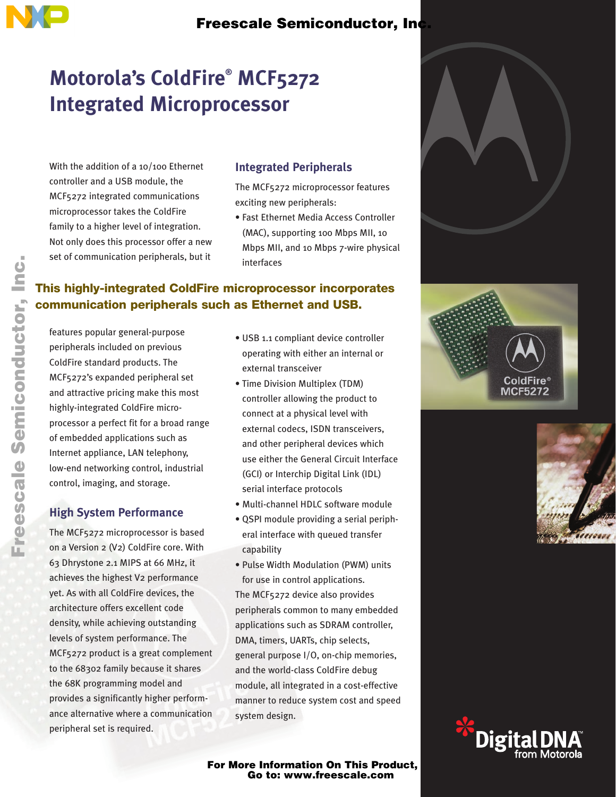## Freescale Semiconductor, Inc.

# **Motorola's ColdFire® MCF5272 Integrated Microprocessor**

With the addition of a 10/100 Ethernet controller and a USB module, the MCF5272 integrated communications microprocessor takes the ColdFire family to a higher level of integration. Not only does this processor offer a new set of communication peripherals, but it

#### **Integrated Peripherals**

The MCF5272 microprocessor features exciting new peripherals:

• Fast Ethernet Media Access Controller (MAC), supporting 100 Mbps MII, 10 Mbps MII, and 10 Mbps 7-wire physical interfaces

### **This highly-integrated ColdFire microprocessor incorporates communication peripherals such as Ethernet and USB.**

features popular general-purpose peripherals included on previous ColdFire standard products. The MCF5272's expanded peripheral set and attractive pricing make this most highly-integrated ColdFire microprocessor a perfect fit for a broad range of embedded applications such as Internet appliance, LAN telephony, low-end networking control, industrial control, imaging, and storage.

### **High System Performance**

The MCF5272 microprocessor is based on a Version 2 (V2) ColdFire core. With 63 Dhrystone 2.1 MIPS at 66 MHz, it achieves the highest V2 performance yet. As with all ColdFire devices, the architecture offers excellent code density, while achieving outstanding levels of system performance. The MCF5272 product is a great complement to the 68302 family because it shares the 68K programming model and provides a significantly higher performance alternative where a communication peripheral set is required.

- USB 1.1 compliant device controller operating with either an internal or external transceiver
- Time Division Multiplex (TDM) controller allowing the product to connect at a physical level with external codecs, ISDN transceivers, and other peripheral devices which use either the General Circuit Interface (GCI) or Interchip Digital Link (IDL) serial interface protocols
- Multi-channel HDLC software module
- QSPI module providing a serial peripheral interface with queued transfer capability
- Pulse Width Modulation (PWM) units for use in control applications.

The MCF5272 device also provides peripherals common to many embedded applications such as SDRAM controller, DMA, timers, UARTs, chip selects, general purpose I/O, on-chip memories, and the world-class ColdFire debug module, all integrated in a cost-effective manner to reduce system cost and speed system design.

For More Information On This Product, Go to: www.freescale.com







F